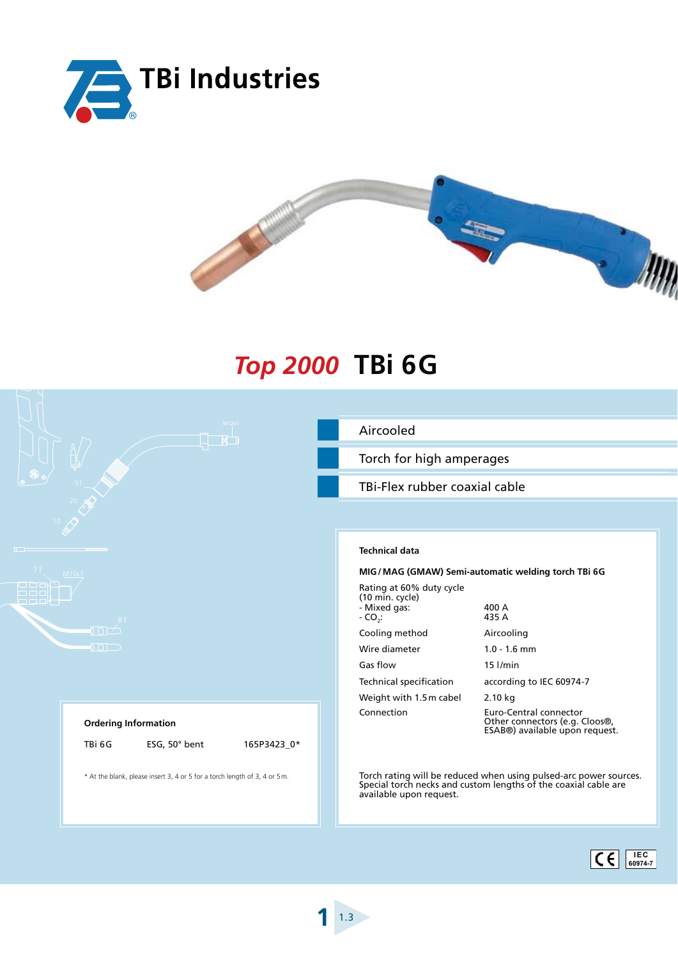



## **Top 2000 TBi 6G**

| M12x1                                                                      | Aircooled                                                                                                                                                       |  |  |  |
|----------------------------------------------------------------------------|-----------------------------------------------------------------------------------------------------------------------------------------------------------------|--|--|--|
|                                                                            | Torch for high amperages                                                                                                                                        |  |  |  |
|                                                                            | TBi-Flex rubber coaxial cable                                                                                                                                   |  |  |  |
|                                                                            |                                                                                                                                                                 |  |  |  |
|                                                                            | <b>Technical data</b>                                                                                                                                           |  |  |  |
| 71<br>M10x1                                                                | MIG/MAG (GMAW) Semi-automatic welding torch TBi 6G                                                                                                              |  |  |  |
| <u>LILJU</u><br>889.<br>889.<br>81                                         | Rating at 60% duty cycle<br>$(10 \text{ min. cycle})$<br>- Mixed gas:<br>400 A<br>435 A<br>$-CO2$ :                                                             |  |  |  |
| $\Box$                                                                     | Cooling method<br>Aircooling                                                                                                                                    |  |  |  |
| $\Box$                                                                     | Wire diameter<br>$1.0 - 1.6$ mm                                                                                                                                 |  |  |  |
|                                                                            | Gas flow<br>$15$ $I/min$                                                                                                                                        |  |  |  |
|                                                                            | <b>Technical specification</b><br>according to IEC 60974-7                                                                                                      |  |  |  |
|                                                                            | Weight with 1.5m cabel<br>2.10 kg                                                                                                                               |  |  |  |
| <b>Ordering Information</b>                                                | Connection<br>Euro-Central connector<br>Other connectors (e.g. Cloos®,<br>ESAB®) available upon request.                                                        |  |  |  |
| TBi 6G<br>ESG, 50° bent<br>165P3423_0*                                     |                                                                                                                                                                 |  |  |  |
| * At the blank, please insert 3, 4 or 5 for a torch length of 3, 4 or 5 m. | Torch rating will be reduced when using pulsed-arc power sources.<br>Special torch necks and custom lengths of the coaxial cable are<br>available upon request. |  |  |  |